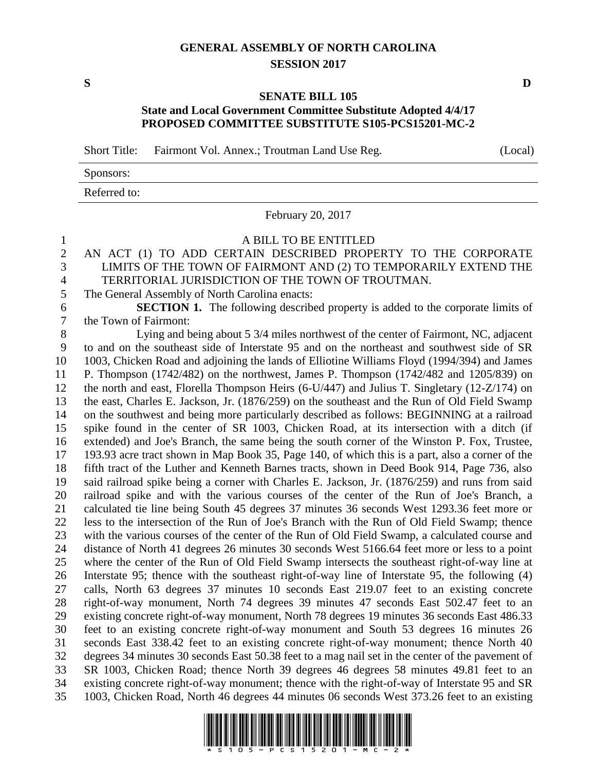## **GENERAL ASSEMBLY OF NORTH CAROLINA SESSION 2017**

**S D**

## **SENATE BILL 105 State and Local Government Committee Substitute Adopted 4/4/17 PROPOSED COMMITTEE SUBSTITUTE S105-PCS15201-MC-2**

Short Title: Fairmont Vol. Annex.; Troutman Land Use Reg. (Local)

| Sponsors:    |  |
|--------------|--|
| Referred to: |  |

February 20, 2017

A BILL TO BE ENTITLED

## AN ACT (1) TO ADD CERTAIN DESCRIBED PROPERTY TO THE CORPORATE LIMITS OF THE TOWN OF FAIRMONT AND (2) TO TEMPORARILY EXTEND THE TERRITORIAL JURISDICTION OF THE TOWN OF TROUTMAN.

The General Assembly of North Carolina enacts:

 **SECTION 1.** The following described property is added to the corporate limits of the Town of Fairmont:

 Lying and being about 5 3/4 miles northwest of the center of Fairmont, NC, adjacent to and on the southeast side of Interstate 95 and on the northeast and southwest side of SR 1003, Chicken Road and adjoining the lands of Elliotine Williams Floyd (1994/394) and James P. Thompson (1742/482) on the northwest, James P. Thompson (1742/482 and 1205/839) on the north and east, Florella Thompson Heirs (6-U/447) and Julius T. Singletary (12-Z/174) on the east, Charles E. Jackson, Jr. (1876/259) on the southeast and the Run of Old Field Swamp on the southwest and being more particularly described as follows: BEGINNING at a railroad spike found in the center of SR 1003, Chicken Road, at its intersection with a ditch (if extended) and Joe's Branch, the same being the south corner of the Winston P. Fox, Trustee, 193.93 acre tract shown in Map Book 35, Page 140, of which this is a part, also a corner of the fifth tract of the Luther and Kenneth Barnes tracts, shown in Deed Book 914, Page 736, also said railroad spike being a corner with Charles E. Jackson, Jr. (1876/259) and runs from said railroad spike and with the various courses of the center of the Run of Joe's Branch, a calculated tie line being South 45 degrees 37 minutes 36 seconds West 1293.36 feet more or less to the intersection of the Run of Joe's Branch with the Run of Old Field Swamp; thence with the various courses of the center of the Run of Old Field Swamp, a calculated course and distance of North 41 degrees 26 minutes 30 seconds West 5166.64 feet more or less to a point where the center of the Run of Old Field Swamp intersects the southeast right-of-way line at Interstate 95; thence with the southeast right-of-way line of Interstate 95, the following (4) calls, North 63 degrees 37 minutes 10 seconds East 219.07 feet to an existing concrete right-of-way monument, North 74 degrees 39 minutes 47 seconds East 502.47 feet to an existing concrete right-of-way monument, North 78 degrees 19 minutes 36 seconds East 486.33 feet to an existing concrete right-of-way monument and South 53 degrees 16 minutes 26 seconds East 338.42 feet to an existing concrete right-of-way monument; thence North 40 degrees 34 minutes 30 seconds East 50.38 feet to a mag nail set in the center of the pavement of SR 1003, Chicken Road; thence North 39 degrees 46 degrees 58 minutes 49.81 feet to an existing concrete right-of-way monument; thence with the right-of-way of Interstate 95 and SR 1003, Chicken Road, North 46 degrees 44 minutes 06 seconds West 373.26 feet to an existing